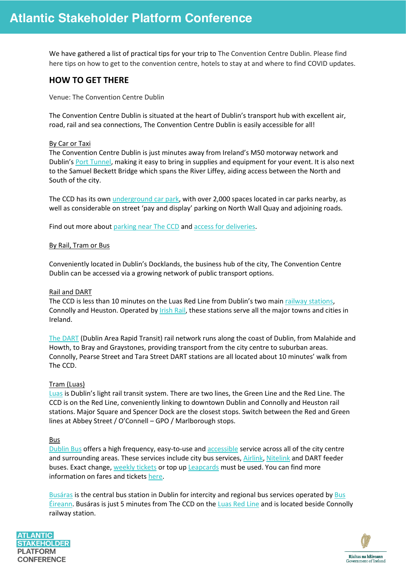We have gathered a list of practical tips for your trip to The Convention Centre Dublin. Please find here tips on how to get to the convention centre, hotels to stay at and where to find COVID updates.

# **HOW TO GET THERE**

Venue: The Convention Centre Dublin

The Convention Centre Dublin is situated at the heart of Dublin's transport hub with excellent air, road, rail and sea connections, The Convention Centre Dublin is easily accessible for all!

### By Car or Taxi

The Convention Centre Dublin is just minutes away from Ireland's M50 motorway network and Dublin's [Port Tunnel,](http://www.dublintunnel.ie/) making it easy to bring in supplies and equipment for your event. It is also next to the Samuel Beckett Bridge which spans the River Liffey, aiding access between the North and South of the city.

The CCD has its own [underground car park,](https://www.theccd.ie/parking) with over 2,000 spaces located in car parks nearby, as well as considerable on street 'pay and display' parking on North Wall Quay and adjoining roads.

Find out more about [parking near The CCD](https://www.theccd.ie/parking) and [access for deliveries.](https://www.theccd.ie/exhibiting/access-and-deliveries)

#### By Rail, Tram or Bus

Conveniently located in Dublin's Docklands, the business hub of the city, The Convention Centre Dublin can be accessed via a growing network of public transport options.

#### Rail and DART

The CCD is less than 10 minutes on the Luas Red Line from Dublin's two main [railway stations,](http://www.irishrail.ie/home/) Connolly and Heuston. Operated by [Irish Rail,](http://www.irishrail.ie/) these stations serve all the major towns and cities in Ireland.

[The DART](http://www.irishrail.ie/about-us/dart-commuter) (Dublin Area Rapid Transit) rail network runs along the coast of Dublin, from Malahide and Howth, to Bray and Graystones, providing transport from the city centre to suburban areas. Connolly, Pearse Street and Tara Street DART stations are all located about 10 minutes' walk from The CCD.

#### Tram (Luas)

[Luas](http://www.luas.ie/) is Dublin's light rail transit system. There are two lines, the Green Line and the Red Line. The CCD is on the Red Line, conveniently linking to downtown Dublin and Connolly and Heuston rail stations. Major Square and Spencer Dock are the closest stops. Switch between the Red and Green lines at Abbey Street / O'Connell – GPO / Marlborough stops.

Bus

[Dublin Bus](http://www.dublinbus.ie/) offers a high frequency, easy-to-use and [accessible](https://www.dublinbus.ie/en/Your-Journey1/Accessibility/) service across all of the city centre and surrounding areas. These services include city bus services, [Airlink,](http://www.dublinbus.ie/en/Your-Journey1/Timetables/Airport-Services/) [Nitelink](http://www.dublinbus.ie/en/Your-Journey1/Timetables/Nitelink-Services/) and DART feeder buses. Exact change, [weekly tickets](http://www.dublinbus.ie/Fares-and-Tickets/) or top up [Leapcards](http://www.dublinbus.ie/Fares-and-Tickets/Leap-Card/) must be used. You can find more information on fares and tickets [here.](http://www.dublinbus.ie/Fares-and-Tickets/)

[Busáras](http://www.transportforireland.ie/) is the central bus station in Dublin for intercity and regional bus services operated by [Bus](http://www.buseireann.ie/)  [Éireann.](http://www.buseireann.ie/) Busáras is just 5 minutes from The CCD on the [Luas Red Line](http://www.luas.ie/) and is located beside Connolly railway station.